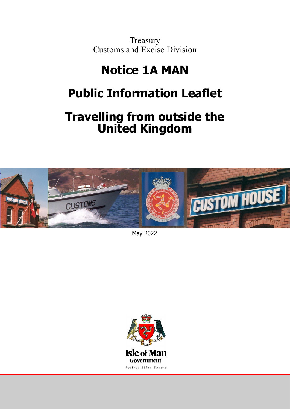**Treasury** Customs and Excise Division

# Notice 1A MAN **Notice 1A MAN**

# **DIIC INTORMATION LEAT Public Information Leaflet**

# Traing from outside the service of the service of the service of the service of t<br>Trained Vincolom UIIICU NIIIYUUIII **Travelling from outside the United Kingdom**



May 2022

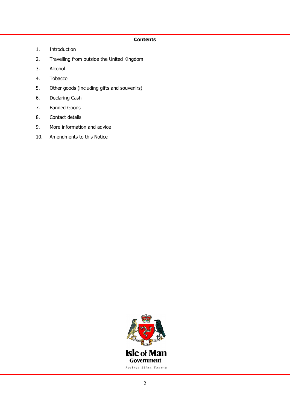# **Contents**

- 1. Introduction
- 2. Travelling from outside the United Kingdom
- 3. Alcohol
- 4. Tobacco
- 5. Other goods (including gifts and souvenirs)
- 6. Declaring Cash
- 7. Banned Goods
- 8. Contact details
- 9. More information and advice
- 10. Amendments to this Notice

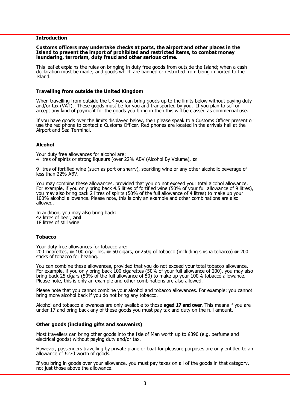#### **Introduction**

#### **Customs officers may undertake checks at ports, the airport and other places in the Island to prevent the import of prohibited and restricted items, to combat money laundering, terrorism, duty fraud and other serious crime.**

This leaflet explains the rules on bringing in duty free goods from outside the Island; when a cash declaration must be made; and goods which are banned or restricted from being imported to the Island.

#### **Travelling from outside the United Kingdom**

When travelling from outside the UK you can bring goods up to the limits below without paying duty and/or tax (VAT). These goods must be for you and transported by you. If you plan to sell or accept any kind of payment for the goods you bring in then this will be classed as commercial use.

If you have goods over the limits displayed below, then please speak to a Customs Officer present or use the red phone to contact a Customs Officer. Red phones are located in the arrivals hall at the Airport and Sea Terminal.

#### **Alcohol**

Your duty free allowances for alcohol are: 4 litres of spirits or strong liqueurs (over 22% ABV (Alcohol By Volume), **or** 

9 litres of fortified wine (such as port or sherry), sparkling wine or any other alcoholic beverage of less than 22% ABV.

You may combine these allowances, provided that you do not exceed your total alcohol allowance. For example, if you only bring back 4.5 litres of fortified wine (50% of your full allowance of 9 litres), you may also bring back 2 litres of spirits (50% of the full allowance of 4 litres) to make up your 100% alcohol allowance. Please note, this is only an example and other combinations are also allowed.

In addition, you may also bring back: 42 litres of beer, **and** 18 litres of still wine

#### **Tobacco**

Your duty free allowances for tobacco are: 200 cigarettes, **or** 100 cigarillos, **or** 50 cigars, **or** 250g of tobacco (including shisha tobacco) **or** 200 sticks of tobacco for heating.

You can combine these allowances, provided that you do not exceed your total tobacco allowance. For example, if you only bring back 100 cigarettes (50% of your full allowance of 200), you may also bring back 25 cigars (50% of the full allowance of 50) to make up your 100% tobacco allowance. Please note, this is only an example and other combinations are also allowed.

Please note that you cannot combine your alcohol and tobacco allowances. For example: you cannot bring more alcohol back if you do not bring any tobacco.

Alcohol and tobacco allowances are only available to those **aged 17 and over**. This means if you are under 17 and bring back any of these goods you must pay tax and duty on the full amount.

#### **Other goods (including gifts and souvenirs)**

Most travellers can bring other goods into the Isle of Man worth up to £390 (e.g. perfume and electrical goods) without paying duty and/or tax.

However, passengers travelling by private plane or boat for pleasure purposes are only entitled to an allowance of £270 worth of goods.

If you bring in goods over your allowance, you must pay taxes on all of the goods in that category, not just those above the allowance.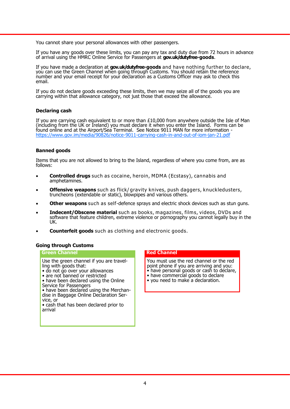You cannot share your personal allowances with other passengers.

If you have any goods over these limits, you can pay any tax and duty due from 72 hours in advance of arrival using the HMRC Online Service for Passengers at **gov.uk/dutyfree-goods**.

If you have made a declaration at **gov.uk/dutyfree-goods** and have nothing further to declare, you can use the Green Channel when going through Customs. You should retain the reference number and your email receipt for your declaration as a Customs Officer may ask to check this email.

If you do not declare goods exceeding these limits, then we may seize all of the goods you are carrying within that allowance category, not just those that exceed the allowance.

#### **Declaring cash**

If you are carrying cash equivalent to or more than £10,000 from anywhere outside the Isle of Man (including from the UK or Ireland) you must declare it when you enter the Island. Forms can be found online and at the Airport/Sea Terminal. See Notice 9011 MAN for more information [https://www.gov.im/media/90826/notice](https://www.gov.im/media/90826/notice-9011-carrying-cash-in-and-out-of-iom-jan-21.pdf)-9011-carrying-cash-in-and-out-of-iom-jan-21.pdf

## **Banned goods**

Items that you are not allowed to bring to the Island, regardless of where you come from, are as follows:

- **Controlled drugs** such as cocaine, heroin, MDMA (Ecstasy), cannabis and amphetamines.
- **Offensive weapons** such as flick/ gravity knives, push daggers, knuckledusters, truncheons (extendable or static), blowpipes and various others.
- **Other weapons** such as self-defence sprays and electric shock devices such as stun guns.
- **Indecent/Obscene material** such as books, magazines, films, videos, DVDs and software that feature children, extreme violence or pornography you cannot legally buy in the UK.
- **Counterfeit goods** such as clothing and electronic goods.

# **Going through Customs**

#### **Green Channel**

Use the green channel if you are travelling with goods that:

- do not go over your allowances
- are not banned or restricted
- have been declared using the Online Service for Passengers

• have been declared using the Merchandise in Baggage Online Declaration Service, or

• cash that has been declared prior to arrival

# **Red Channel**

You must use the red channel or the red point phone if you are arriving and you: • have personal goods or cash to declare,

- have commercial goods to declare
- you need to make a declaration.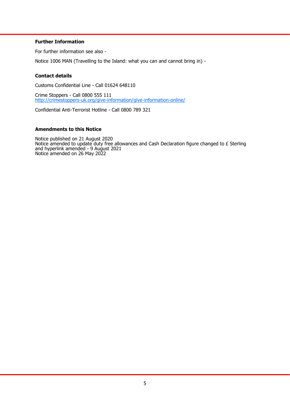# **Further Information**

For further information see also -

Notice 1006 MAN (Travelling to the Island: what you can and cannot bring in) -

### **Contact details**

Customs Confidential Line - Call 01624 648110

Crime Stoppers - Call 0800 555 111 [http://crimestoppers](http://crimestoppers-uk.org/give-information/give-information-online/)-uk.org/give-information/give-information-online/

Confidential Anti-Terrorist Hotline - Call 0800 789 321

#### **Amendments to this Notice**

Notice published on 21 August 2020 Notice amended to update duty free allowances and Cash Declaration figure changed to  $\pounds$  Sterling and hyperlink amended - 9 August 2021 Notice amended on 26 May 2022